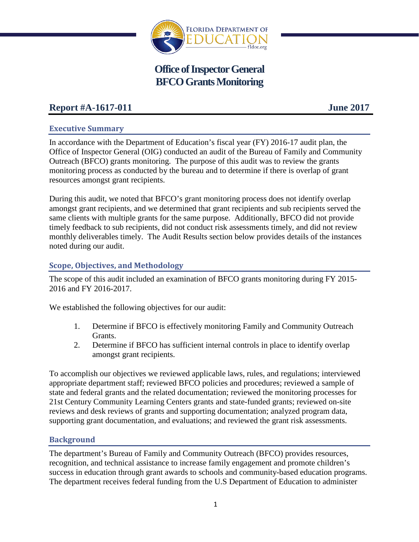

# **Office of Inspector General BFCO Grants Monitoring**

## **Report #A-1617-011 June 2017**

## **Executive Summary**

In accordance with the Department of Education's fiscal year (FY) 2016-17 audit plan, the Office of Inspector General (OIG) conducted an audit of the Bureau of Family and Community Outreach (BFCO) grants monitoring. The purpose of this audit was to review the grants monitoring process as conducted by the bureau and to determine if there is overlap of grant resources amongst grant recipients.

During this audit, we noted that BFCO's grant monitoring process does not identify overlap amongst grant recipients, and we determined that grant recipients and sub recipients served the same clients with multiple grants for the same purpose. Additionally, BFCO did not provide timely feedback to sub recipients, did not conduct risk assessments timely, and did not review monthly deliverables timely. The Audit Results section below provides details of the instances noted during our audit.

## **Scope, Objectives, and Methodology**

The scope of this audit included an examination of BFCO grants monitoring during FY 2015- 2016 and FY 2016-2017.

We established the following objectives for our audit:

- 1. Determine if BFCO is effectively monitoring Family and Community Outreach Grants.
- 2. Determine if BFCO has sufficient internal controls in place to identify overlap amongst grant recipients.

To accomplish our objectives we reviewed applicable laws, rules, and regulations; interviewed appropriate department staff; reviewed BFCO policies and procedures; reviewed a sample of state and federal grants and the related documentation; reviewed the monitoring processes for 21st Century Community Learning Centers grants and state-funded grants; reviewed on-site reviews and desk reviews of grants and supporting documentation; analyzed program data, supporting grant documentation, and evaluations; and reviewed the grant risk assessments.

## **Background**

The department's Bureau of Family and Community Outreach (BFCO) provides resources, recognition, and technical assistance to increase family engagement and promote children's success in education through grant awards to schools and community-based education programs. The department receives federal funding from the U.S Department of Education to administer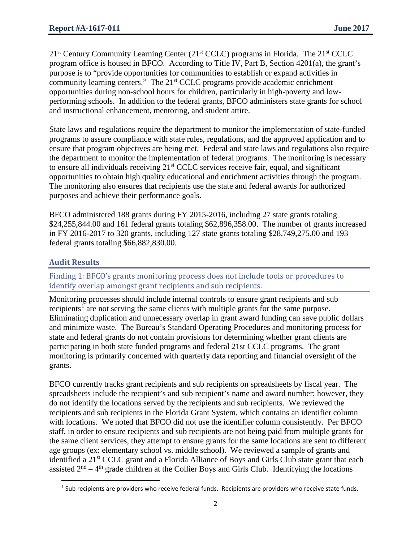$21<sup>st</sup>$  Century Community Learning Center ( $21<sup>st</sup>$  CCLC) programs in Florida. The  $21<sup>st</sup>$  CCLC program office is housed in BFCO. According to Title IV, Part B, Section 4201(a), the grant's purpose is to "provide opportunities for communities to establish or expand activities in community learning centers." The 21<sup>st</sup> CCLC programs provide academic enrichment opportunities during non-school hours for children, particularly in high-poverty and lowperforming schools. In addition to the federal grants, BFCO administers state grants for school and instructional enhancement, mentoring, and student attire.

State laws and regulations require the department to monitor the implementation of state-funded programs to assure compliance with state rules, regulations, and the approved application and to ensure that program objectives are being met. Federal and state laws and regulations also require the department to monitor the implementation of federal programs. The monitoring is necessary to ensure all individuals receiving 21<sup>st</sup> CCLC services receive fair, equal, and significant opportunities to obtain high quality educational and enrichment activities through the program. The monitoring also ensures that recipients use the state and federal awards for authorized purposes and achieve their performance goals.

BFCO administered 188 grants during FY 2015-2016, including 27 state grants totaling \$24,255,844.00 and 161 federal grants totaling \$62,896,358.00. The number of grants increased in FY 2016-2017 to 320 grants, including 127 state grants totaling \$28,749,275.00 and 193 federal grants totaling \$66,882,830.00.

## **Audit Results**

l

Finding 1: BFCO's grants monitoring process does not include tools or procedures to identify overlap amongst grant recipients and sub recipients.

Monitoring processes should include internal controls to ensure grant recipients and sub recipients<sup>[1](#page-1-0)</sup> are not serving the same clients with multiple grants for the same purpose. Eliminating duplication and unnecessary overlap in grant award funding can save public dollars and minimize waste. The Bureau's Standard Operating Procedures and monitoring process for state and federal grants do not contain provisions for determining whether grant clients are participating in both state funded programs and federal 21st CCLC programs. The grant monitoring is primarily concerned with quarterly data reporting and financial oversight of the grants.

BFCO currently tracks grant recipients and sub recipients on spreadsheets by fiscal year. The spreadsheets include the recipient's and sub recipient's name and award number; however, they do not identify the locations served by the recipients and sub recipients. We reviewed the recipients and sub recipients in the Florida Grant System, which contains an identifier column with locations. We noted that BFCO did not use the identifier column consistently. Per BFCO staff, in order to ensure recipients and sub recipients are not being paid from multiple grants for the same client services, they attempt to ensure grants for the same locations are sent to different age groups (ex: elementary school vs. middle school). We reviewed a sample of grants and identified a 21<sup>st</sup> CCLC grant and a Florida Alliance of Boys and Girls Club state grant that each assisted  $2<sup>nd</sup> - 4<sup>th</sup>$  grade children at the Collier Boys and Girls Club. Identifying the locations

<span id="page-1-0"></span> $<sup>1</sup>$  Sub recipients are providers who receive federal funds. Recipients are providers who receive state funds.</sup>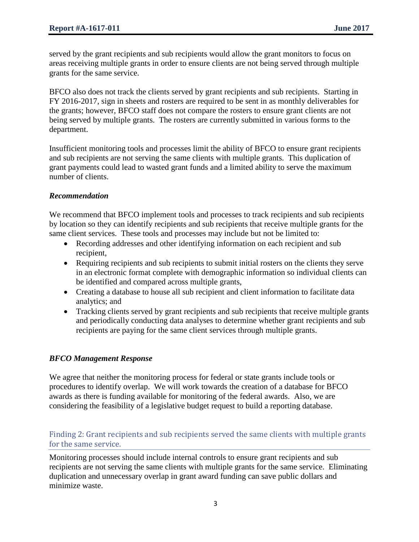served by the grant recipients and sub recipients would allow the grant monitors to focus on areas receiving multiple grants in order to ensure clients are not being served through multiple grants for the same service.

BFCO also does not track the clients served by grant recipients and sub recipients. Starting in FY 2016-2017, sign in sheets and rosters are required to be sent in as monthly deliverables for the grants; however, BFCO staff does not compare the rosters to ensure grant clients are not being served by multiple grants. The rosters are currently submitted in various forms to the department.

Insufficient monitoring tools and processes limit the ability of BFCO to ensure grant recipients and sub recipients are not serving the same clients with multiple grants. This duplication of grant payments could lead to wasted grant funds and a limited ability to serve the maximum number of clients.

#### *Recommendation*

We recommend that BFCO implement tools and processes to track recipients and sub recipients by location so they can identify recipients and sub recipients that receive multiple grants for the same client services. These tools and processes may include but not be limited to:

- Recording addresses and other identifying information on each recipient and sub recipient,
- Requiring recipients and sub recipients to submit initial rosters on the clients they serve in an electronic format complete with demographic information so individual clients can be identified and compared across multiple grants,
- Creating a database to house all sub recipient and client information to facilitate data analytics; and
- Tracking clients served by grant recipients and sub recipients that receive multiple grants and periodically conducting data analyses to determine whether grant recipients and sub recipients are paying for the same client services through multiple grants.

## *BFCO Management Response*

We agree that neither the monitoring process for federal or state grants include tools or procedures to identify overlap. We will work towards the creation of a database for BFCO awards as there is funding available for monitoring of the federal awards. Also, we are considering the feasibility of a legislative budget request to build a reporting database.

## Finding 2: Grant recipients and sub recipients served the same clients with multiple grants for the same service.

Monitoring processes should include internal controls to ensure grant recipients and sub recipients are not serving the same clients with multiple grants for the same service. Eliminating duplication and unnecessary overlap in grant award funding can save public dollars and minimize waste.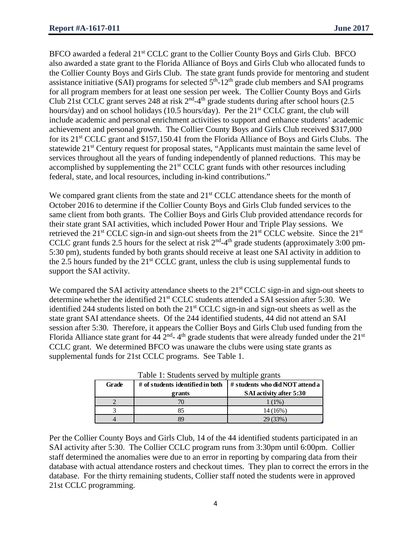BFCO awarded a federal 21<sup>st</sup> CCLC grant to the Collier County Boys and Girls Club. BFCO also awarded a state grant to the Florida Alliance of Boys and Girls Club who allocated funds to the Collier County Boys and Girls Club. The state grant funds provide for mentoring and student assistance initiative (SAI) programs for selected  $5<sup>th</sup>$ -12<sup>th</sup> grade club members and SAI programs for all program members for at least one session per week. The Collier County Boys and Girls Club 21st CCLC grant serves 248 at risk  $2<sup>nd</sup> - 4<sup>th</sup>$  grade students during after school hours (2.5) hours/day) and on school holidays (10.5 hours/day). Per the  $21<sup>st</sup> CCLC$  grant, the club will include academic and personal enrichment activities to support and enhance students' academic achievement and personal growth. The Collier County Boys and Girls Club received \$317,000 for its 21<sup>st</sup> CCLC grant and \$157,150.41 from the Florida Alliance of Boys and Girls Clubs. The statewide 21<sup>st</sup> Century request for proposal states, "Applicants must maintain the same level of services throughout all the years of funding independently of planned reductions. This may be accomplished by supplementing the 21<sup>st</sup> CCLC grant funds with other resources including federal, state, and local resources, including in-kind contributions."

We compared grant clients from the state and 21<sup>st</sup> CCLC attendance sheets for the month of October 2016 to determine if the Collier County Boys and Girls Club funded services to the same client from both grants. The Collier Boys and Girls Club provided attendance records for their state grant SAI activities, which included Power Hour and Triple Play sessions. We retrieved the  $21^{st}$  CCLC sign-in and sign-out sheets from the  $21^{st}$  CCLC website. Since the  $21^{st}$ CCLC grant funds 2.5 hours for the select at risk  $2<sup>nd</sup> - 4<sup>th</sup>$  grade students (approximately 3:00 pm-5:30 pm), students funded by both grants should receive at least one SAI activity in addition to the 2.5 hours funded by the  $21<sup>st</sup> CCLC$  grant, unless the club is using supplemental funds to support the SAI activity.

We compared the SAI activity attendance sheets to the 21<sup>st</sup> CCLC sign-in and sign-out sheets to determine whether the identified 21<sup>st</sup> CCLC students attended a SAI session after 5:30. We identified 244 students listed on both the 21<sup>st</sup> CCLC sign-in and sign-out sheets as well as the state grant SAI attendance sheets. Of the 244 identified students, 44 did not attend an SAI session after 5:30. Therefore, it appears the Collier Boys and Girls Club used funding from the Florida Alliance state grant for  $44 \overline{2}^{\text{nd}}$ - 4<sup>th</sup> grade students that were already funded under the 21<sup>st</sup> CCLC grant. We determined BFCO was unaware the clubs were using state grants as supplemental funds for 21st CCLC programs. See Table 1.

|       | Table 1. Bludents served by multiple grants |                                 |
|-------|---------------------------------------------|---------------------------------|
| Grade | # of students identified in both            | # students who did NOT attend a |
|       | grants                                      | <b>SAI</b> activity after 5:30  |
|       |                                             | $(1\%)$                         |
|       | 85                                          | $14(16\%)$                      |
|       | 89                                          | 29 (33%)                        |

Table 1: Students served by multiple grants

Per the Collier County Boys and Girls Club, 14 of the 44 identified students participated in an SAI activity after 5:30. The Collier CCLC program runs from 3:30pm until 6:00pm. Collier staff determined the anomalies were due to an error in reporting by comparing data from their database with actual attendance rosters and checkout times. They plan to correct the errors in the database. For the thirty remaining students, Collier staff noted the students were in approved 21st CCLC programming.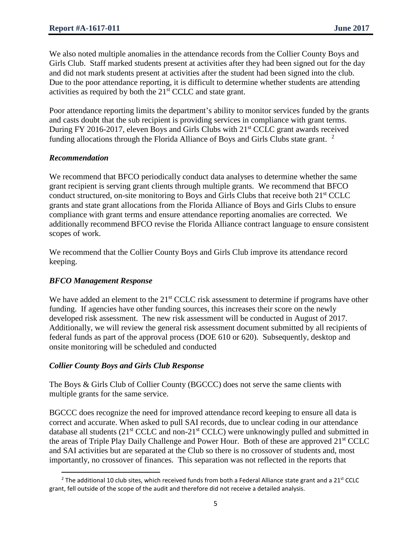We also noted multiple anomalies in the attendance records from the Collier County Boys and Girls Club. Staff marked students present at activities after they had been signed out for the day and did not mark students present at activities after the student had been signed into the club. Due to the poor attendance reporting, it is difficult to determine whether students are attending activities as required by both the 21<sup>st</sup> CCLC and state grant.

Poor attendance reporting limits the department's ability to monitor services funded by the grants and casts doubt that the sub recipient is providing services in compliance with grant terms. During FY 2016-2017, eleven Boys and Girls Clubs with 21<sup>st</sup> CCLC grant awards received funding allocations through the Florida Alliance of Boys and Girls Clubs state grant.  $2$ 

## *Recommendation*

We recommend that BFCO periodically conduct data analyses to determine whether the same grant recipient is serving grant clients through multiple grants. We recommend that BFCO conduct structured, on-site monitoring to Boys and Girls Clubs that receive both 21st CCLC grants and state grant allocations from the Florida Alliance of Boys and Girls Clubs to ensure compliance with grant terms and ensure attendance reporting anomalies are corrected. We additionally recommend BFCO revise the Florida Alliance contract language to ensure consistent scopes of work.

We recommend that the Collier County Boys and Girls Club improve its attendance record keeping.

## *BFCO Management Response*

 $\overline{\phantom{a}}$ 

We have added an element to the  $21<sup>st</sup> CCLC$  risk assessment to determine if programs have other funding. If agencies have other funding sources, this increases their score on the newly developed risk assessment. The new risk assessment will be conducted in August of 2017. Additionally, we will review the general risk assessment document submitted by all recipients of federal funds as part of the approval process (DOE 610 or 620). Subsequently, desktop and onsite monitoring will be scheduled and conducted

## *Collier County Boys and Girls Club Response*

The Boys & Girls Club of Collier County (BGCCC) does not serve the same clients with multiple grants for the same service.

BGCCC does recognize the need for improved attendance record keeping to ensure all data is correct and accurate. When asked to pull SAI records, due to unclear coding in our attendance database all students  $(21^{st}$  CCLC and non- $21^{st}$  CCLC) were unknowingly pulled and submitted in the areas of Triple Play Daily Challenge and Power Hour. Both of these are approved 21<sup>st</sup> CCLC and SAI activities but are separated at the Club so there is no crossover of students and, most importantly, no crossover of finances. This separation was not reflected in the reports that

<span id="page-4-0"></span><sup>&</sup>lt;sup>2</sup> The additional 10 club sites, which received funds from both a Federal Alliance state grant and a 21<sup>st</sup> CCLC grant, fell outside of the scope of the audit and therefore did not receive a detailed analysis.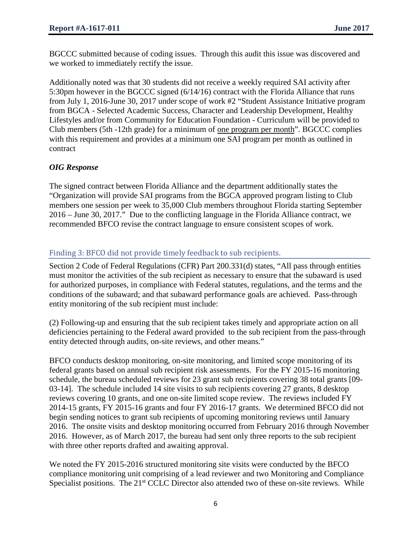BGCCC submitted because of coding issues. Through this audit this issue was discovered and we worked to immediately rectify the issue.

Additionally noted was that 30 students did not receive a weekly required SAI activity after 5:30pm however in the BGCCC signed (6/14/16) contract with the Florida Alliance that runs from July 1, 2016-June 30, 2017 under scope of work #2 "Student Assistance Initiative program from BGCA - Selected Academic Success, Character and Leadership Development, Healthy Lifestyles and/or from Community for Education Foundation - Curriculum will be provided to Club members (5th -12th grade) for a minimum of one program per month". BGCCC complies with this requirement and provides at a minimum one SAI program per month as outlined in contract

## *OIG Response*

The signed contract between Florida Alliance and the department additionally states the "Organization will provide SAI programs from the BGCA approved program listing to Club members one session per week to 35,000 Club members throughout Florida starting September 2016 – June 30, 2017." Due to the conflicting language in the Florida Alliance contract, we recommended BFCO revise the contract language to ensure consistent scopes of work.

## Finding 3: BFCO did not provide timely feedback to sub recipients.

Section 2 Code of Federal Regulations (CFR) Part 200.331(d) states, "All pass through entities must monitor the activities of the sub recipient as necessary to ensure that the subaward is used for authorized purposes, in compliance with Federal statutes, regulations, and the terms and the conditions of the subaward; and that subaward performance goals are achieved. Pass-through entity monitoring of the sub recipient must include:

(2) Following-up and ensuring that the sub recipient takes timely and appropriate action on all deficiencies pertaining to the Federal award provided to the sub recipient from the pass-through entity detected through audits, on-site reviews, and other means."

BFCO conducts desktop monitoring, on-site monitoring, and limited scope monitoring of its federal grants based on annual sub recipient risk assessments. For the FY 2015-16 monitoring schedule, the bureau scheduled reviews for 23 grant sub recipients covering 38 total grants [09- 03-14]. The schedule included 14 site visits to sub recipients covering 27 grants, 8 desktop reviews covering 10 grants, and one on-site limited scope review. The reviews included FY 2014-15 grants, FY 2015-16 grants and four FY 2016-17 grants. We determined BFCO did not begin sending notices to grant sub recipients of upcoming monitoring reviews until January 2016. The onsite visits and desktop monitoring occurred from February 2016 through November 2016. However, as of March 2017, the bureau had sent only three reports to the sub recipient with three other reports drafted and awaiting approval.

We noted the FY 2015-2016 structured monitoring site visits were conducted by the BFCO compliance monitoring unit comprising of a lead reviewer and two Monitoring and Compliance Specialist positions. The 21<sup>st</sup> CCLC Director also attended two of these on-site reviews. While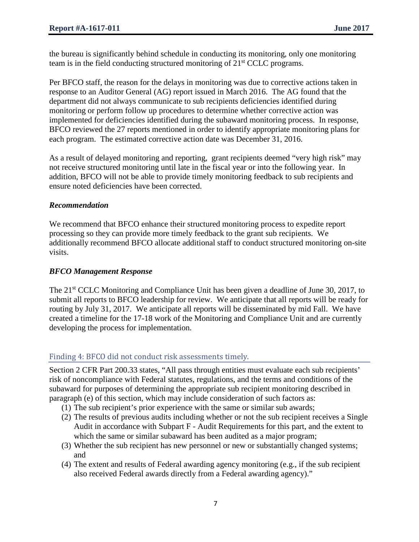the bureau is significantly behind schedule in conducting its monitoring, only one monitoring team is in the field conducting structured monitoring of  $21<sup>st</sup> CCLC$  programs.

Per BFCO staff, the reason for the delays in monitoring was due to corrective actions taken in response to an Auditor General (AG) report issued in March 2016. The AG found that the department did not always communicate to sub recipients deficiencies identified during monitoring or perform follow up procedures to determine whether corrective action was implemented for deficiencies identified during the subaward monitoring process. In response, BFCO reviewed the 27 reports mentioned in order to identify appropriate monitoring plans for each program. The estimated corrective action date was December 31, 2016.

As a result of delayed monitoring and reporting, grant recipients deemed "very high risk" may not receive structured monitoring until late in the fiscal year or into the following year. In addition, BFCO will not be able to provide timely monitoring feedback to sub recipients and ensure noted deficiencies have been corrected.

#### *Recommendation*

We recommend that BFCO enhance their structured monitoring process to expedite report processing so they can provide more timely feedback to the grant sub recipients. We additionally recommend BFCO allocate additional staff to conduct structured monitoring on-site visits.

#### *BFCO Management Response*

The 21<sup>st</sup> CCLC Monitoring and Compliance Unit has been given a deadline of June 30, 2017, to submit all reports to BFCO leadership for review. We anticipate that all reports will be ready for routing by July 31, 2017. We anticipate all reports will be disseminated by mid Fall. We have created a timeline for the 17-18 work of the Monitoring and Compliance Unit and are currently developing the process for implementation.

## Finding 4: BFCO did not conduct risk assessments timely.

Section 2 CFR Part 200.33 states, "All pass through entities must evaluate each sub recipients' risk of noncompliance with Federal statutes, regulations, and the terms and conditions of the subaward for purposes of determining the appropriate sub recipient monitoring described in paragraph (e) of this section, which may include consideration of such factors as:

- (1) The sub recipient's prior experience with the same or similar sub awards;
- (2) The results of previous audits including whether or not the sub recipient receives a Single Audit in accordance with Subpart F - Audit Requirements for this part, and the extent to which the same or similar subaward has been audited as a major program;
- (3) Whether the sub recipient has new personnel or new or substantially changed systems; and
- (4) The extent and results of Federal awarding agency monitoring (e.g., if the sub recipient also received Federal awards directly from a Federal awarding agency)."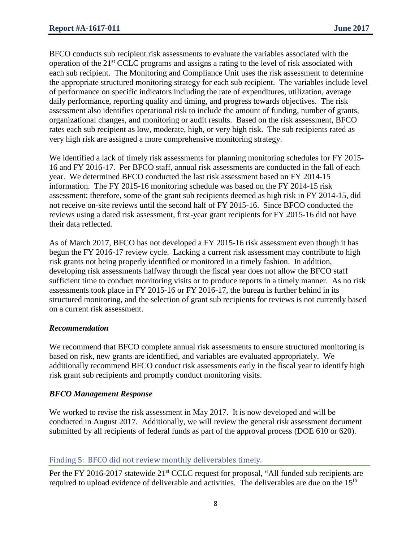BFCO conducts sub recipient risk assessments to evaluate the variables associated with the operation of the 21<sup>st</sup> CCLC programs and assigns a rating to the level of risk associated with each sub recipient. The Monitoring and Compliance Unit uses the risk assessment to determine the appropriate structured monitoring strategy for each sub recipient. The variables include level of performance on specific indicators including the rate of expenditures, utilization, average daily performance, reporting quality and timing, and progress towards objectives. The risk assessment also identifies operational risk to include the amount of funding, number of grants, organizational changes, and monitoring or audit results. Based on the risk assessment, BFCO rates each sub recipient as low, moderate, high, or very high risk. The sub recipients rated as very high risk are assigned a more comprehensive monitoring strategy.

We identified a lack of timely risk assessments for planning monitoring schedules for FY 2015- 16 and FY 2016-17. Per BFCO staff, annual risk assessments are conducted in the fall of each year. We determined BFCO conducted the last risk assessment based on FY 2014-15 information. The FY 2015-16 monitoring schedule was based on the FY 2014-15 risk assessment; therefore, some of the grant sub recipients deemed as high risk in FY 2014-15, did not receive on-site reviews until the second half of FY 2015-16. Since BFCO conducted the reviews using a dated risk assessment, first-year grant recipients for FY 2015-16 did not have their data reflected.

As of March 2017, BFCO has not developed a FY 2015-16 risk assessment even though it has begun the FY 2016-17 review cycle. Lacking a current risk assessment may contribute to high risk grants not being properly identified or monitored in a timely fashion. In addition, developing risk assessments halfway through the fiscal year does not allow the BFCO staff sufficient time to conduct monitoring visits or to produce reports in a timely manner. As no risk assessments took place in FY 2015-16 or FY 2016-17, the bureau is further behind in its structured monitoring, and the selection of grant sub recipients for reviews is not currently based on a current risk assessment.

## *Recommendation*

We recommend that BFCO complete annual risk assessments to ensure structured monitoring is based on risk, new grants are identified, and variables are evaluated appropriately. We additionally recommend BFCO conduct risk assessments early in the fiscal year to identify high risk grant sub recipients and promptly conduct monitoring visits.

## *BFCO Management Response*

We worked to revise the risk assessment in May 2017. It is now developed and will be conducted in August 2017. Additionally, we will review the general risk assessment document submitted by all recipients of federal funds as part of the approval process (DOE 610 or 620).

## Finding 5: BFCO did not review monthly deliverables timely.

Per the FY 2016-2017 statewide 21<sup>st</sup> CCLC request for proposal, "All funded sub recipients are required to upload evidence of deliverable and activities. The deliverables are due on the 15<sup>th</sup>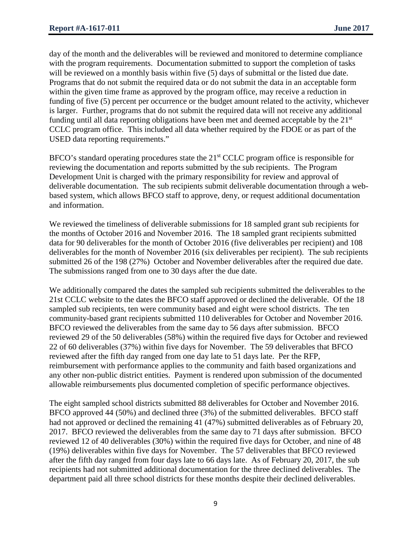day of the month and the deliverables will be reviewed and monitored to determine compliance with the program requirements. Documentation submitted to support the completion of tasks will be reviewed on a monthly basis within five (5) days of submittal or the listed due date. Programs that do not submit the required data or do not submit the data in an acceptable form within the given time frame as approved by the program office, may receive a reduction in funding of five (5) percent per occurrence or the budget amount related to the activity, whichever is larger. Further, programs that do not submit the required data will not receive any additional funding until all data reporting obligations have been met and deemed acceptable by the  $21<sup>st</sup>$ CCLC program office. This included all data whether required by the FDOE or as part of the USED data reporting requirements."

BFCO's standard operating procedures state the 21<sup>st</sup> CCLC program office is responsible for reviewing the documentation and reports submitted by the sub recipients. The Program Development Unit is charged with the primary responsibility for review and approval of deliverable documentation. The sub recipients submit deliverable documentation through a webbased system, which allows BFCO staff to approve, deny, or request additional documentation and information.

We reviewed the timeliness of deliverable submissions for 18 sampled grant sub recipients for the months of October 2016 and November 2016. The 18 sampled grant recipients submitted data for 90 deliverables for the month of October 2016 (five deliverables per recipient) and 108 deliverables for the month of November 2016 (six deliverables per recipient). The sub recipients submitted 26 of the 198 (27%) October and November deliverables after the required due date. The submissions ranged from one to 30 days after the due date.

We additionally compared the dates the sampled sub recipients submitted the deliverables to the 21st CCLC website to the dates the BFCO staff approved or declined the deliverable. Of the 18 sampled sub recipients, ten were community based and eight were school districts. The ten community-based grant recipients submitted 110 deliverables for October and November 2016. BFCO reviewed the deliverables from the same day to 56 days after submission. BFCO reviewed 29 of the 50 deliverables (58%) within the required five days for October and reviewed 22 of 60 deliverables (37%) within five days for November. The 59 deliverables that BFCO reviewed after the fifth day ranged from one day late to 51 days late. Per the RFP, reimbursement with performance applies to the community and faith based organizations and any other non-public district entities. Payment is rendered upon submission of the documented allowable reimbursements plus documented completion of specific performance objectives.

The eight sampled school districts submitted 88 deliverables for October and November 2016. BFCO approved 44 (50%) and declined three (3%) of the submitted deliverables. BFCO staff had not approved or declined the remaining 41 (47%) submitted deliverables as of February 20, 2017. BFCO reviewed the deliverables from the same day to 71 days after submission. BFCO reviewed 12 of 40 deliverables (30%) within the required five days for October, and nine of 48 (19%) deliverables within five days for November. The 57 deliverables that BFCO reviewed after the fifth day ranged from four days late to 66 days late. As of February 20, 2017, the sub recipients had not submitted additional documentation for the three declined deliverables. The department paid all three school districts for these months despite their declined deliverables.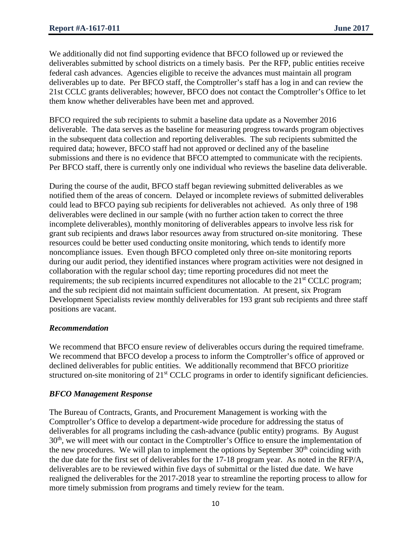We additionally did not find supporting evidence that BFCO followed up or reviewed the deliverables submitted by school districts on a timely basis. Per the RFP, public entities receive federal cash advances. Agencies eligible to receive the advances must maintain all program deliverables up to date. Per BFCO staff, the Comptroller's staff has a log in and can review the 21st CCLC grants deliverables; however, BFCO does not contact the Comptroller's Office to let them know whether deliverables have been met and approved.

BFCO required the sub recipients to submit a baseline data update as a November 2016 deliverable. The data serves as the baseline for measuring progress towards program objectives in the subsequent data collection and reporting deliverables. The sub recipients submitted the required data; however, BFCO staff had not approved or declined any of the baseline submissions and there is no evidence that BFCO attempted to communicate with the recipients. Per BFCO staff, there is currently only one individual who reviews the baseline data deliverable.

During the course of the audit, BFCO staff began reviewing submitted deliverables as we notified them of the areas of concern. Delayed or incomplete reviews of submitted deliverables could lead to BFCO paying sub recipients for deliverables not achieved. As only three of 198 deliverables were declined in our sample (with no further action taken to correct the three incomplete deliverables), monthly monitoring of deliverables appears to involve less risk for grant sub recipients and draws labor resources away from structured on-site monitoring. These resources could be better used conducting onsite monitoring, which tends to identify more noncompliance issues. Even though BFCO completed only three on-site monitoring reports during our audit period, they identified instances where program activities were not designed in collaboration with the regular school day; time reporting procedures did not meet the requirements; the sub recipients incurred expenditures not allocable to the 21<sup>st</sup> CCLC program; and the sub recipient did not maintain sufficient documentation. At present, six Program Development Specialists review monthly deliverables for 193 grant sub recipients and three staff positions are vacant.

#### *Recommendation*

We recommend that BFCO ensure review of deliverables occurs during the required timeframe. We recommend that BFCO develop a process to inform the Comptroller's office of approved or declined deliverables for public entities. We additionally recommend that BFCO prioritize structured on-site monitoring of 21<sup>st</sup> CCLC programs in order to identify significant deficiencies.

## *BFCO Management Response*

The Bureau of Contracts, Grants, and Procurement Management is working with the Comptroller's Office to develop a department-wide procedure for addressing the status of deliverables for all programs including the cash-advance (public entity) programs. By August 30<sup>th</sup>, we will meet with our contact in the Comptroller's Office to ensure the implementation of the new procedures. We will plan to implement the options by September  $30<sup>th</sup>$  coinciding with the due date for the first set of deliverables for the 17-18 program year. As noted in the RFP/A, deliverables are to be reviewed within five days of submittal or the listed due date. We have realigned the deliverables for the 2017-2018 year to streamline the reporting process to allow for more timely submission from programs and timely review for the team.